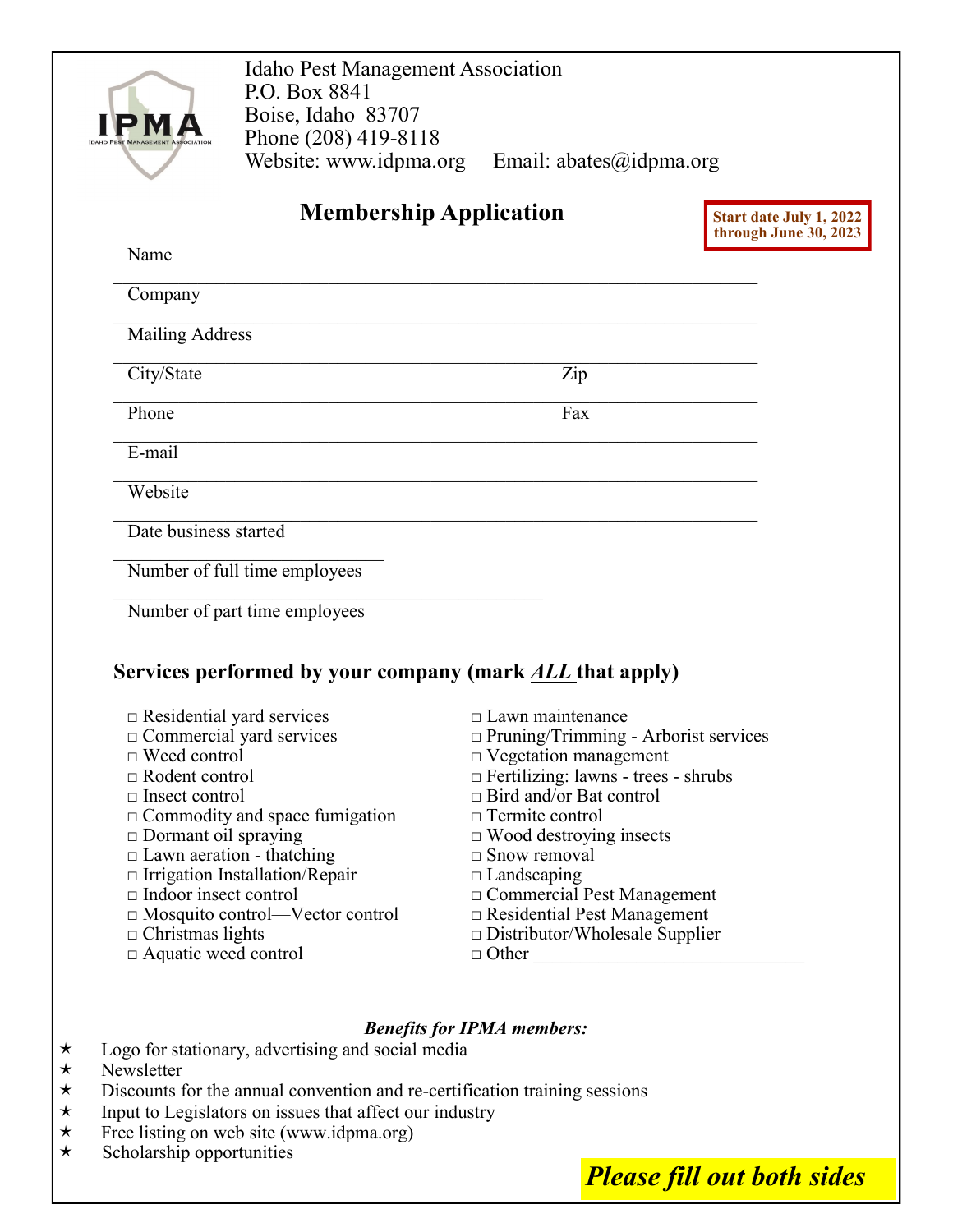| Website: www.idpma.org<br>Email: $abates$ @idpma.org<br><b>Membership Application</b><br>Start date July 1, 2022<br>through June 30, 2023<br>Zip |
|--------------------------------------------------------------------------------------------------------------------------------------------------|
|                                                                                                                                                  |
|                                                                                                                                                  |
|                                                                                                                                                  |
|                                                                                                                                                  |
|                                                                                                                                                  |
|                                                                                                                                                  |
|                                                                                                                                                  |
| Fax                                                                                                                                              |
|                                                                                                                                                  |
|                                                                                                                                                  |
|                                                                                                                                                  |
|                                                                                                                                                  |
|                                                                                                                                                  |
|                                                                                                                                                  |
| Services performed by your company (mark <u>ALL</u> that apply)                                                                                  |
| $\Box$ Lawn maintenance                                                                                                                          |
| □ Pruning/Trimming - Arborist services                                                                                                           |
| D Vegetation management                                                                                                                          |
| $\Box$ Fertilizing: lawns - trees - shrubs                                                                                                       |
| $\Box$ Bird and/or Bat control<br>$\Box$ Termite control                                                                                         |
| $\Box$ Wood destroying insects                                                                                                                   |
| $\Box$ Snow removal                                                                                                                              |
| $\Box$ Landscaping                                                                                                                               |
| $\Box$ Commercial Pest Management                                                                                                                |
| $\Box$ Residential Pest Management                                                                                                               |
| $\square$ Distributor/Wholesale Supplier                                                                                                         |
| □ Other                                                                                                                                          |
|                                                                                                                                                  |
| <b>Benefits for IPMA members:</b>                                                                                                                |
| Logo for stationary, advertising and social media<br>Discoverte for the engual convention and no contification training                          |

- $\star$  Discounts for the annual convention and re-certification training sessions  $\star$  Input to Legislators on issues that affect our industry
- $\star$  Input to Legislators on issues that affect our industry<br>
Free listing on web site (www.idpma.org)
- $\star$  Free listing on web site (www.idpma.org)<br>  $\star$  Scholarship opportunities
- Scholarship opportunities

*Please fill out both sides*